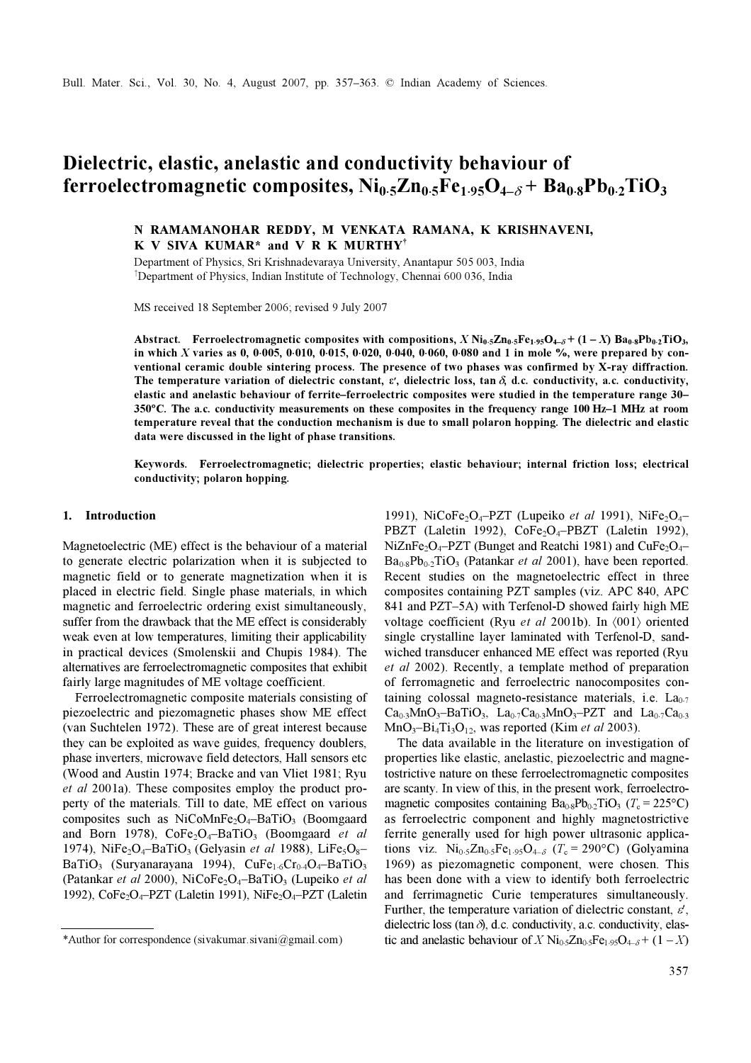# Dielectric, elastic, anelastic and conductivity behaviour of ferroelectromagnetic composites,  $Ni<sub>0.5</sub>Zn<sub>0.5</sub>Fe<sub>1.95</sub>O<sub>4-δ</sub> + Ba<sub>0.8</sub>Pb<sub>0.2</sub>TiO<sub>3</sub>$

# N RAMAMANOHAR REDDY, M VENKATA RAMANA, K KRISHNAVENI, K V SIVA KUMAR\* and V R K MURTHY†

Department of Physics, Sri Krishnadevaraya University, Anantapur 505 003, India † Department of Physics, Indian Institute of Technology, Chennai 600 036, India

MS received 18 September 2006; revised 9 July 2007

Abstract. Ferroelectromagnetic composites with compositions,  $X \text{Ni}_{0.5}Zn_{0.5}Fe_{1.95}O_{4.6} + (1 - X) Ba_{0.8}Pb_{0.2}TiO_3$ , in which X varies as 0, 0⋅005, 0⋅010, 0⋅015, 0⋅020, 0⋅040, 0⋅060, 0⋅080 and 1 in mole %, were prepared by conventional ceramic double sintering process. The presence of two phases was confirmed by X-ray diffraction. The temperature variation of dielectric constant,  $\varepsilon$ , dielectric loss, tan  $\delta$ , d.c. conductivity, a.c. conductivity, The temperature variation of dielectric constant,  $\varepsilon$ , dielectric loss, tan  $\delta$ , d.c. conductivi elastic and anelastic behaviour of ferrite–ferroelectric composites were studied in the temperature range 30– <sup>350</sup>°C. The a.c. conductivity measurements on these composites in the frequency range 100 Hz–1 MHz at room temperature reveal that the conduction mechanism is due to small polaron hopping. The dielectric and elastic data were discussed in the light of phase transitions.

Keywords. Ferroelectromagnetic; dielectric properties; elastic behaviour; internal friction loss; electrical conductivity; polaron hopping.

#### 1. Introduction

Magnetoelectric (ME) effect is the behaviour of a material to generate electric polarization when it is subjected to magnetic field or to generate magnetization when it is placed in electric field. Single phase materials, in which magnetic and ferroelectric ordering exist simultaneously, suffer from the drawback that the ME effect is considerably weak even at low temperatures, limiting their applicability in practical devices (Smolenskii and Chupis 1984). The alternatives are ferroelectromagnetic composites that exhibit fairly large magnitudes of ME voltage coefficient.

 Ferroelectromagnetic composite materials consisting of piezoelectric and piezomagnetic phases show ME effect (van Suchtelen 1972). These are of great interest because they can be exploited as wave guides, frequency doublers, phase inverters, microwave field detectors, Hall sensors etc (Wood and Austin 1974; Bracke and van Vliet 1981; Ryu et al 2001a). These composites employ the product property of the materials. Till to date, ME effect on various composites such as  $NiCoMnFe<sub>2</sub>O<sub>4</sub>–BaTiO<sub>3</sub>$  (Boomgaard and Born 1978),  $CoFe<sub>2</sub>O<sub>4</sub> – BaTiO<sub>3</sub>$  (Boomgaard et al 1974), NiFe<sub>2</sub>O<sub>4</sub>–BaTiO<sub>3</sub> (Gelyasin et al 1988), LiFe<sub>5</sub>O<sub>8</sub>– BaTiO<sub>3</sub> (Survanarayana 1994), CuFe<sub>1⋅6</sub>Cr<sub>0</sub>⋅0<sub>4</sub>–BaTiO<sub>3</sub> (Patankar et al 2000), NiCoFe<sub>2</sub>O<sub>4</sub>-BaTiO<sub>3</sub> (Lupeiko et al 1992), CoFe<sub>2</sub>O<sub>4</sub>–PZT (Laletin 1991), NiFe<sub>2</sub>O<sub>4</sub>–PZT (Laletin

1991), NiCoFe<sub>2</sub>O<sub>4</sub>–PZT (Lupeiko et al 1991), NiFe<sub>2</sub>O<sub>4</sub>– PBZT (Laletin 1992), CoFe<sub>2</sub>O<sub>4</sub>-PBZT (Laletin 1992), NiZnFe<sub>2</sub>O<sub>4</sub>–PZT (Bunget and Reatchi 1981) and CuFe<sub>2</sub>O<sub>4</sub>–  $Ba<sub>0.8</sub>Pb<sub>0.2</sub>TiO<sub>3</sub>$  (Patankar *et al* 2001), have been reported. Recent studies on the magnetoelectric effect in three composites containing PZT samples (viz. APC 840, APC 841 and PZT–5A) with Terfenol-D showed fairly high ME voltage coefficient (Ryu et al 2001b). In  $\langle 001 \rangle$  oriented single crystalline layer laminated with Terfenol-D, sandwiched transducer enhanced ME effect was reported (Ryu et al 2002). Recently, a template method of preparation of ferromagnetic and ferroelectric nanocomposites containing colossal magneto-resistance materials, i.e.  $La<sub>0.7</sub>$  $Ca_{0.3}MnO_3-BaTiO_3$ ,  $La_{0.7}Ca_{0.3}MnO_3-PZT$  and  $La_{0.7}Ca_{0.3}$  $MnO<sub>3</sub>–Bi<sub>4</sub>Ti<sub>3</sub>O<sub>12</sub>$ , was reported (Kim *et al* 2003).

 The data available in the literature on investigation of properties like elastic, anelastic, piezoelectric and magnetostrictive nature on these ferroelectromagnetic composites are scanty. In view of this, in the present work, ferroelectromagnetic composites containing  $Ba<sub>0.8</sub>Pb<sub>0.2</sub>TiO<sub>3</sub>$  (T<sub>c</sub> = 225°C) as ferroelectric component and highly magnetostrictive ferrite generally used for high power ultrasonic applications viz. Ni<sub>0⋅5</sub>Zn<sub>0⋅5</sub>Fe<sub>1⋅95</sub>O<sub>4−δ</sub> (T<sub>c</sub> = 290°C) (Golyamina 1969) as piezomagnetic component, were chosen. This has been done with a view to identify both ferroelectric and ferrimagnetic Curie temperatures simultaneously. Further, the temperature variation of dielectric constant,  $\varepsilon'$ , dielectric loss (tan $\delta$ ), d.c. conductivity, a.c. conductivity, elas-\*Author for correspondence (sivakumar.sivani@gmail.com) tic and anelastic behaviour of X Ni<sub>0⋅5</sub>Zn<sub>0⋅5</sub>Fe<sub>1⋅95</sub>O<sub>4−δ</sub> + (1 – X)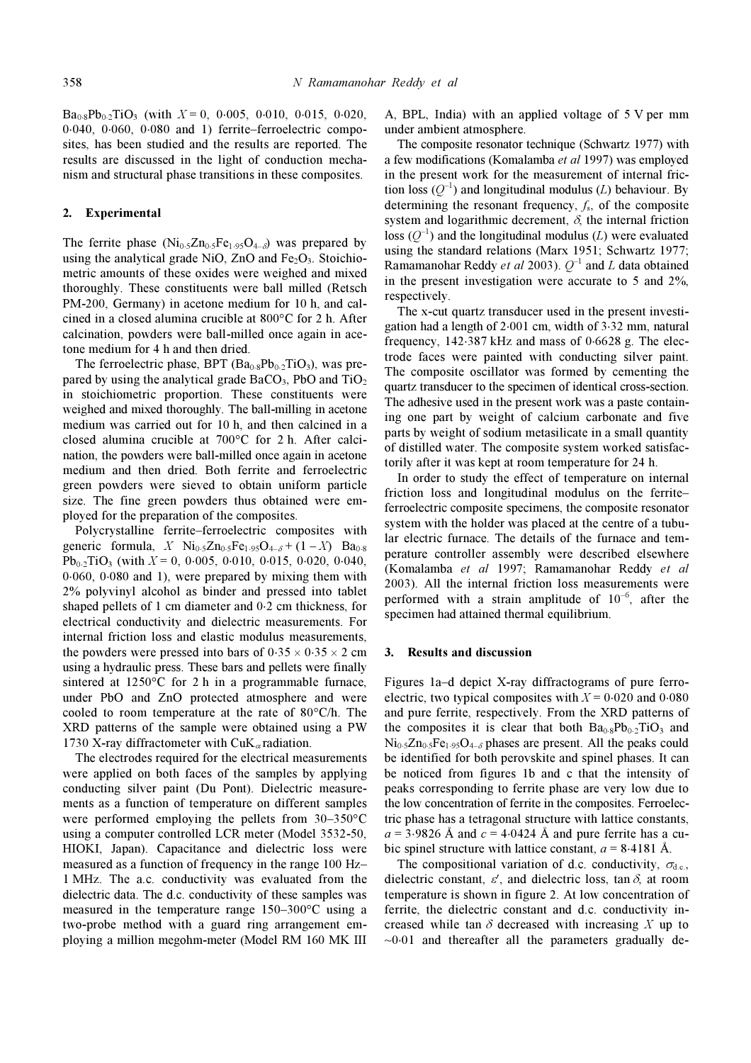$Ba_{0.8}Pb_{0.2}TiO_3$  (with  $X = 0$ , 0⋅005, 0⋅010, 0⋅015, 0⋅020, 0⋅040, 0⋅060, 0⋅080 and 1) ferrite–ferroelectric composites, has been studied and the results are reported. The results are discussed in the light of conduction mechanism and structural phase transitions in these composites.

### 2. Experimental

The ferrite phase  $(Ni<sub>0.5</sub>Zn<sub>0.5</sub>Fe<sub>1.95</sub>O<sub>4-δ</sub>)$  was prepared by using the analytical grade NiO,  $ZnO$  and  $Fe<sub>2</sub>O<sub>3</sub>$ . Stoichiometric amounts of these oxides were weighed and mixed thoroughly. These constituents were ball milled (Retsch PM-200, Germany) in acetone medium for 10 h, and calcined in a closed alumina crucible at 800°C for 2 h. After calcination, powders were ball-milled once again in acetone medium for 4 h and then dried.

The ferroelectric phase, BPT  $(Ba_{0.8}Pb_{0.2}TiO_3)$ , was prepared by using the analytical grade  $BaCO<sub>3</sub>$ , PbO and TiO<sub>2</sub> in stoichiometric proportion. These constituents were weighed and mixed thoroughly. The ball-milling in acetone medium was carried out for 10 h, and then calcined in a closed alumina crucible at 700°C for 2 h. After calcination, the powders were ball-milled once again in acetone medium and then dried. Both ferrite and ferroelectric green powders were sieved to obtain uniform particle size. The fine green powders thus obtained were employed for the preparation of the composites.

 Polycrystalline ferrite–ferroelectric composites with generic formula,  $X \text{Ni}_{0.5}Zn_{0.5}Fe_{1.95}O_{4-\delta} + (1 - X)$  Ba<sub>0⋅8</sub>  $Pb_{0.2}TiO_3$  (with  $X = 0$ , 0⋅005, 0⋅010, 0⋅015, 0⋅020, 0⋅040, 0⋅060, 0⋅080 and 1), were prepared by mixing them with 2% polyvinyl alcohol as binder and pressed into tablet shaped pellets of 1 cm diameter and 0⋅2 cm thickness, for electrical conductivity and dielectric measurements. For internal friction loss and elastic modulus measurements, the powders were pressed into bars of  $0.35 \times 0.35 \times 2$  cm using a hydraulic press. These bars and pellets were finally sintered at 1250°C for 2 h in a programmable furnace, under PbO and ZnO protected atmosphere and were cooled to room temperature at the rate of 80°C/h. The XRD patterns of the sample were obtained using a PW 1730 X-ray diffractometer with  $CuK_{\alpha}$  radiation.

 The electrodes required for the electrical measurements were applied on both faces of the samples by applying conducting silver paint (Du Pont). Dielectric measurements as a function of temperature on different samples were performed employing the pellets from 30–350°C using a computer controlled LCR meter (Model 3532-50, HIOKI, Japan). Capacitance and dielectric loss were measured as a function of frequency in the range 100 Hz– 1 MHz. The a.c. conductivity was evaluated from the dielectric data. The d.c. conductivity of these samples was measured in the temperature range 150–300°C using a two-probe method with a guard ring arrangement employing a million megohm-meter (Model RM 160 MK III

A, BPL, India) with an applied voltage of 5 V per mm under ambient atmosphere.

 The composite resonator technique (Schwartz 1977) with a few modifications (Komalamba et al 1997) was employed in the present work for the measurement of internal friction loss  $(Q^{-1})$  and longitudinal modulus (L) behaviour. By determining the resonant frequency,  $f_s$ , of the composite system and logarithmic decrement,  $\delta$ , the internal friction loss  $(Q^{-1})$  and the longitudinal modulus (L) were evaluated using the standard relations (Marx 1951; Schwartz 1977; Ramamanohar Reddy *et al* 2003).  $Q^{-1}$  and L data obtained in the present investigation were accurate to 5 and 2%, respectively.

 The x-cut quartz transducer used in the present investigation had a length of 2⋅001 cm, width of 3⋅32 mm, natural frequency, 142⋅387 kHz and mass of 0⋅6628 g. The electrode faces were painted with conducting silver paint. The composite oscillator was formed by cementing the quartz transducer to the specimen of identical cross-section. The adhesive used in the present work was a paste containing one part by weight of calcium carbonate and five parts by weight of sodium metasilicate in a small quantity of distilled water. The composite system worked satisfactorily after it was kept at room temperature for 24 h.

 In order to study the effect of temperature on internal friction loss and longitudinal modulus on the ferrite– ferroelectric composite specimens, the composite resonator system with the holder was placed at the centre of a tubular electric furnace. The details of the furnace and temperature controller assembly were described elsewhere (Komalamba et al 1997; Ramamanohar Reddy et al 2003). All the internal friction loss measurements were performed with a strain amplitude of  $10^{-6}$ , after the specimen had attained thermal equilibrium.

## 3. Results and discussion

Figures 1a–d depict X-ray diffractograms of pure ferroelectric, two typical composites with  $X = 0.020$  and  $0.080$ and pure ferrite, respectively. From the XRD patterns of the composites it is clear that both  $Ba<sub>0.8</sub>Pb<sub>0.2</sub>TiO<sub>3</sub>$  and  $Ni<sub>0.5</sub>Zn<sub>0.5</sub>Fe<sub>1.95</sub>O<sub>4-δ</sub> phases are present. All the peaks could$ be identified for both perovskite and spinel phases. It can be noticed from figures 1b and c that the intensity of peaks corresponding to ferrite phase are very low due to the low concentration of ferrite in the composites. Ferroelectric phase has a tetragonal structure with lattice constants,  $a = 3.9826$  Å and  $c = 4.0424$  Å and pure ferrite has a cubic spinel structure with lattice constant,  $a = 8.4181 \text{ Å}$ .

The compositional variation of d.c. conductivity,  $\sigma_{\text{de}}$ , dielectric constant,  $\varepsilon'$ , and dielectric loss, tan  $\delta$ , at room temperature is shown in figure 2. At low concentration of ferrite, the dielectric constant and d.c. conductivity increased while tan  $\delta$  decreased with increasing X up to  $\sim 0.01$  and thereafter all the parameters gradually de-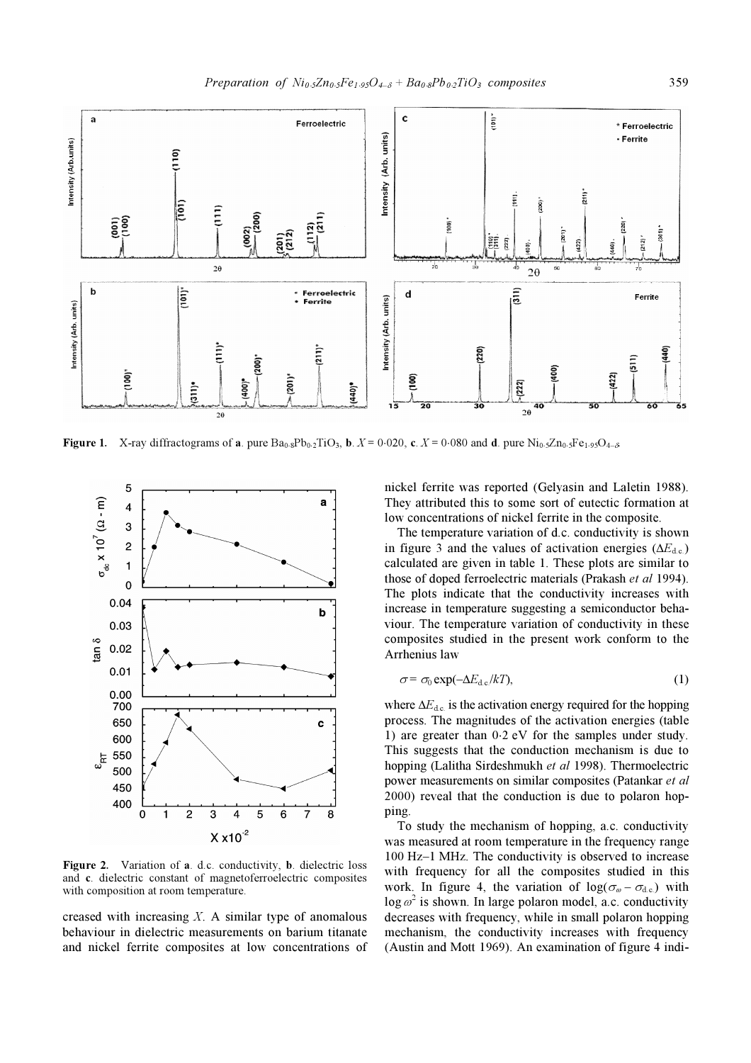

Figure 1. X-ray diffractograms of a. pure  $Ba_{0.8}Pb_{0.2}TiO_3$ , b.  $X = 0.020$ , c.  $X = 0.080$  and d. pure  $Ni_{0.5}Zn_{0.5}Fe_{1.95}O_{4-δ}$ .



Figure 2. Variation of a. d.c. conductivity, b. dielectric loss and c. dielectric constant of magnetoferroelectric composites with composition at room temperature.

creased with increasing  $X$ . A similar type of anomalous behaviour in dielectric measurements on barium titanate and nickel ferrite composites at low concentrations of

nickel ferrite was reported (Gelyasin and Laletin 1988). They attributed this to some sort of eutectic formation at low concentrations of nickel ferrite in the composite.

 The temperature variation of d.c. conductivity is shown in figure 3 and the values of activation energies ( $\Delta E_{\text{dc}}$ ) calculated are given in table 1. These plots are similar to those of doped ferroelectric materials (Prakash et al 1994). The plots indicate that the conductivity increases with increase in temperature suggesting a semiconductor behaviour. The temperature variation of conductivity in these composites studied in the present work conform to the Arrhenius law

$$
\sigma = \sigma_0 \exp(-\Delta E_{\rm d.c}/kT),\tag{1}
$$

where  $\Delta E_{\text{dc}}$  is the activation energy required for the hopping process. The magnitudes of the activation energies (table 1) are greater than 0⋅2 eV for the samples under study. This suggests that the conduction mechanism is due to hopping (Lalitha Sirdeshmukh et al 1998). Thermoelectric power measurements on similar composites (Patankar et al 2000) reveal that the conduction is due to polaron hopping.

 To study the mechanism of hopping, a.c. conductivity was measured at room temperature in the frequency range 100 Hz–1 MHz. The conductivity is observed to increase with frequency for all the composites studied in this work. In figure 4, the variation of  $log(\sigma_{\varphi} - \sigma_{\rm dc})$  with  $\log \omega^2$  is shown. In large polaron model, a.c. conductivity decreases with frequency, while in small polaron hopping mechanism, the conductivity increases with frequency (Austin and Mott 1969). An examination of figure 4 indi-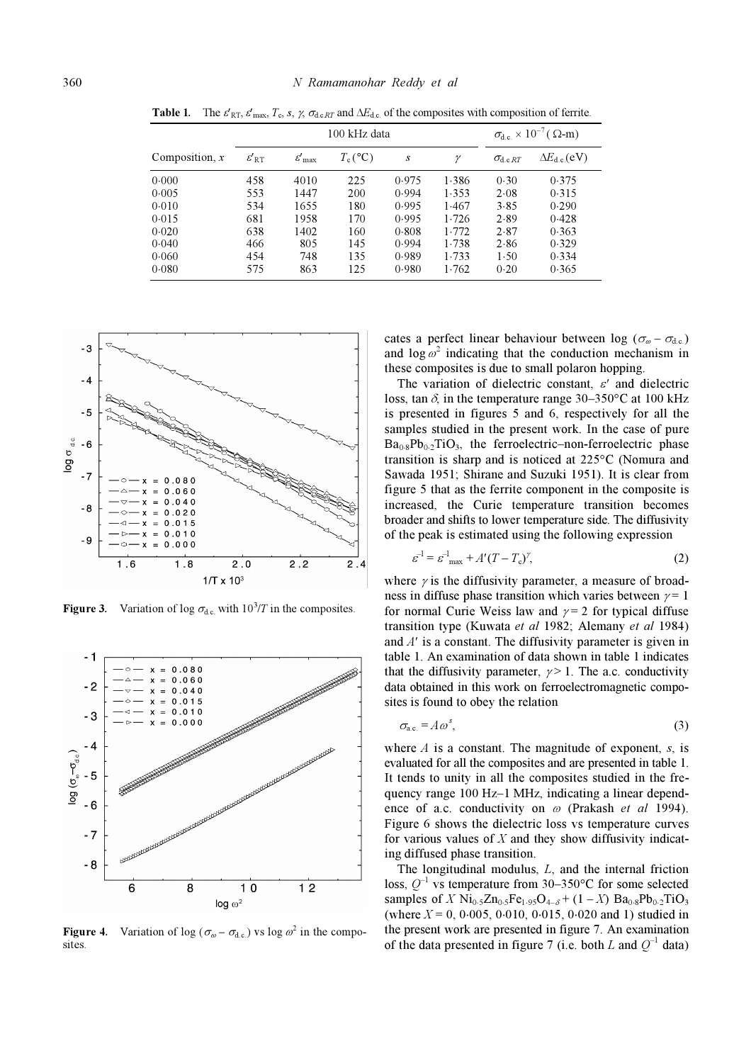|                  | 100 kHz data        |                             |            |       |              | $\sigma_{\text{d.c.}} \times 10^{-7}$ ( $\Omega$ -m) |                                     |
|------------------|---------------------|-----------------------------|------------|-------|--------------|------------------------------------------------------|-------------------------------------|
| Composition, $x$ | $\varepsilon'_{RT}$ | $\varepsilon'_{\text{max}}$ | $T_c$ (°C) | S     | $\mathcal V$ | $\sigma_{\rm d.c. RT}$                               | $\Delta E_{\text{d.c.}}(\text{eV})$ |
| 0.000            | 458                 | 4010                        | 225        | 0.975 | 1.386        | 0.30                                                 | 0.375                               |
| 0.005            | 553                 | 1447                        | 200        | 0.994 | 1.353        | 2.08                                                 | 0.315                               |
| 0.010            | 534                 | 1655                        | 180        | 0.995 | 1.467        | 3.85                                                 | 0.290                               |
| 0.015            | 681                 | 1958                        | 170        | 0.995 | 1.726        | 2.89                                                 | 0.428                               |
| 0.020            | 638                 | 1402                        | 160        | 0.808 | 1.772        | 2.87                                                 | 0.363                               |
| 0.040            | 466                 | 805                         | 145        | 0.994 | 1.738        | 2.86                                                 | 0.329                               |
| 0.060            | 454                 | 748                         | 135        | 0.989 | 1.733        | 1.50                                                 | 0.334                               |
| 0.080            | 575                 | 863                         | 125        | 0.980 | 1.762        | 0.20                                                 | 0.365                               |

**Table 1.** The  $\varepsilon'_{RT}$ ,  $\varepsilon'_{max}$ ,  $T_c$ ,  $s$ ,  $\gamma$ ,  $\sigma_{d.c.RT}$  and  $\Delta E_{d.c.}$  of the composites with composition of ferrite.



Figure 3. Variation of log  $\sigma_{d.c.}$  with  $10^3/T$  in the composites.



**Figure 4.** Variation of log ( $\sigma_{\omega} - \sigma_{d.c.}$ ) vs log  $\omega^2$  in the composites

cates a perfect linear behaviour between log ( $\sigma_{\varphi} - \sigma_{\rm dc}$ ) and  $\log \omega^2$  indicating that the conduction mechanism in these composites is due to small polaron hopping.

The variation of dielectric constant,  $\varepsilon'$  and dielectric loss, tan  $\delta$ , in the temperature range 30–350°C at 100 kHz is presented in figures 5 and 6, respectively for all the samples studied in the present work. In the case of pure  $Ba<sub>0.8</sub>Pb<sub>0.2</sub>TiO<sub>3</sub>$ , the ferroelectric–non-ferroelectric phase transition is sharp and is noticed at 225°C (Nomura and Sawada 1951; Shirane and Suzuki 1951). It is clear from figure 5 that as the ferrite component in the composite is increased, the Curie temperature transition becomes broader and shifts to lower temperature side. The diffusivity of the peak is estimated using the following expression

$$
\varepsilon^{-1} = \varepsilon^{-1}_{\text{max}} + A'(T - T_c)^{\gamma},\tag{2}
$$

where  $\gamma$  is the diffusivity parameter, a measure of broadness in diffuse phase transition which varies between  $\gamma = 1$ for normal Curie Weiss law and  $\gamma = 2$  for typical diffuse transition type (Kuwata et al 1982; Alemany et al 1984) and A′ is a constant. The diffusivity parameter is given in table 1. An examination of data shown in table 1 indicates that the diffusivity parameter,  $\gamma > 1$ . The a.c. conductivity data obtained in this work on ferroelectromagnetic composites is found to obey the relation

$$
\sigma_{\text{a.c.}} = A \omega^s,\tag{3}
$$

where  $A$  is a constant. The magnitude of exponent, s, is evaluated for all the composites and are presented in table 1. It tends to unity in all the composites studied in the frequency range 100 Hz–1 MHz, indicating a linear dependence of a.c. conductivity on  $\omega$  (Prakash et al 1994). Figure 6 shows the dielectric loss vs temperature curves for various values of  $X$  and they show diffusivity indicating diffused phase transition.

 The longitudinal modulus, L, and the internal friction loss,  $Q^{-1}$  vs temperature from 30–350°C for some selected samples of X Ni<sub>0⋅5</sub>Zn<sub>0⋅5</sub>Fe<sub>1⋅95</sub>O<sub>4→6</sub> + (1 – X) Ba<sub>0⋅8</sub>Pb<sub>0⋅2</sub>TiO<sub>3</sub> (where  $X = 0, 0.005, 0.010, 0.015, 0.020$  and 1) studied in the present work are presented in figure 7. An examination of the data presented in figure 7 (i.e. both L and  $Q^{-1}$  data)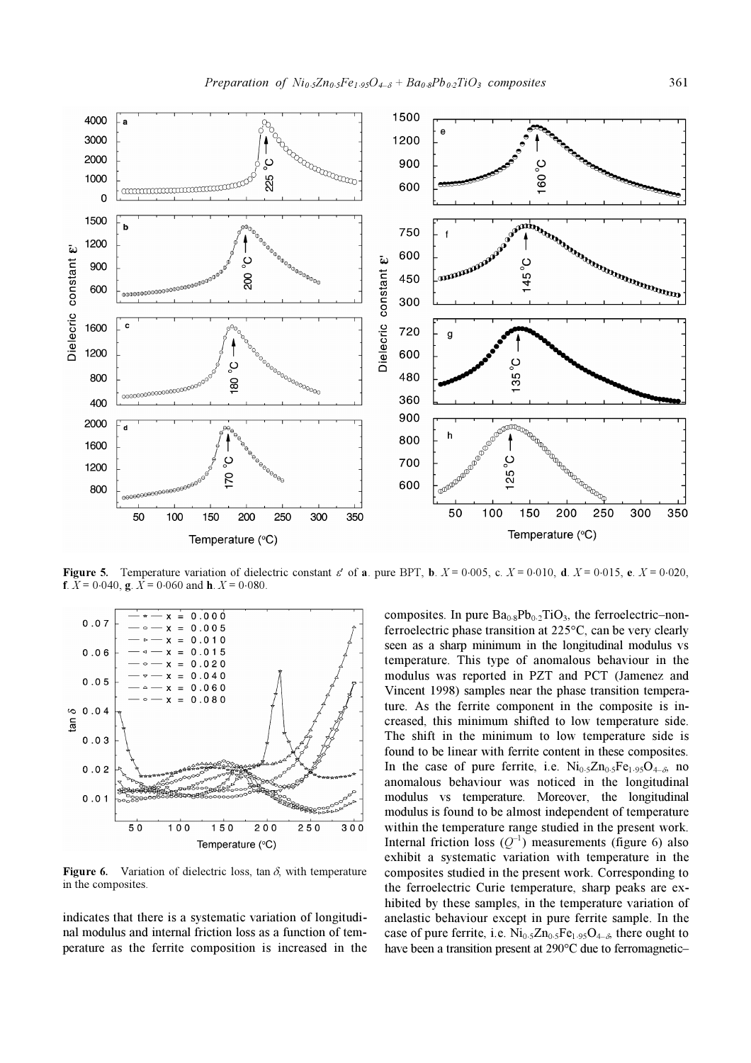

Figure 5. Temperature variation of dielectric constant  $\varepsilon'$  of a. pure BPT, b.  $X = 0.005$ , c.  $X = 0.010$ , d.  $X = 0.015$ , e.  $X = 0.020$ , **f**.  $\overline{X} = 0.040$ , **g**.  $\overline{X} = 0.060$  and **h**.  $\overline{X} = 0.080$ .



**Figure 6.** Variation of dielectric loss, tan  $\delta$ , with temperature in the composites.

indicates that there is a systematic variation of longitudinal modulus and internal friction loss as a function of temperature as the ferrite composition is increased in the composites. In pure  $Ba<sub>0.8</sub>Pb<sub>0.2</sub>TiO<sub>3</sub>$ , the ferroelectric–nonferroelectric phase transition at 225°C, can be very clearly seen as a sharp minimum in the longitudinal modulus vs temperature. This type of anomalous behaviour in the modulus was reported in PZT and PCT (Jamenez and Vincent 1998) samples near the phase transition temperature. As the ferrite component in the composite is increased, this minimum shifted to low temperature side. The shift in the minimum to low temperature side is found to be linear with ferrite content in these composites. In the case of pure ferrite, i.e.  $Ni<sub>0.5</sub>Zn<sub>0.5</sub>Fe<sub>1.95</sub>O<sub>4-δ</sub>$  no anomalous behaviour was noticed in the longitudinal modulus vs temperature. Moreover, the longitudinal modulus is found to be almost independent of temperature within the temperature range studied in the present work. Internal friction loss  $(Q^{-1})$  measurements (figure 6) also exhibit a systematic variation with temperature in the composites studied in the present work. Corresponding to the ferroelectric Curie temperature, sharp peaks are exhibited by these samples, in the temperature variation of anelastic behaviour except in pure ferrite sample. In the case of pure ferrite, i.e.  $Ni<sub>0.5</sub>Zn<sub>0.5</sub>Fe<sub>1.95</sub>O<sub>4-δ</sub>$ , there ought to have been a transition present at 290°C due to ferromagnetic–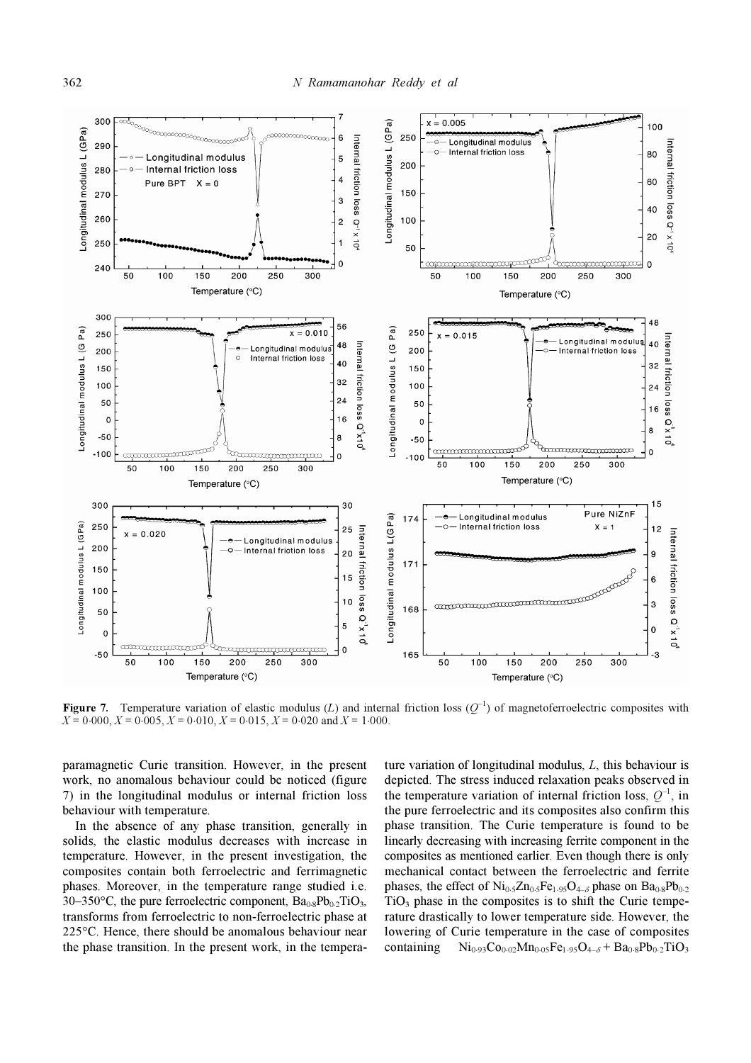

**Figure 7.** Temperature variation of elastic modulus (L) and internal friction loss ( $Q^{-1}$ ) of magnetoferroelectric composites with  $X = 0.000, X = 0.005, X = 0.010, X = 0.015, X = 0.020$  and  $X = 1.000$ .

paramagnetic Curie transition. However, in the present work, no anomalous behaviour could be noticed (figure 7) in the longitudinal modulus or internal friction loss behaviour with temperature.

 In the absence of any phase transition, generally in solids, the elastic modulus decreases with increase in temperature. However, in the present investigation, the composites contain both ferroelectric and ferrimagnetic phases. Moreover, in the temperature range studied i.e. 30–350°C, the pure ferroelectric component,  $Ba_{0.8}Pb_{0.2}TiO_3$ , transforms from ferroelectric to non-ferroelectric phase at 225°C. Hence, there should be anomalous behaviour near the phase transition. In the present work, in the temperature variation of longitudinal modulus, L, this behaviour is depicted. The stress induced relaxation peaks observed in the temperature variation of internal friction loss,  $Q^{-1}$ , in the pure ferroelectric and its composites also confirm this phase transition. The Curie temperature is found to be linearly decreasing with increasing ferrite component in the composites as mentioned earlier. Even though there is only mechanical contact between the ferroelectric and ferrite phases, the effect of  $Ni<sub>0.5</sub>Zn<sub>0.5</sub>Fe<sub>1.95</sub>O<sub>4-δ</sub> phase on Ba<sub>0.8</sub>Pb<sub>0.2</sub>$  $TiO<sub>3</sub>$  phase in the composites is to shift the Curie temperature drastically to lower temperature side. However, the lowering of Curie temperature in the case of composites containing  $Ni_{0.93}Co_{0.02}Mn_{0.05}Fe_{1.95}O_{4-\delta} + Ba_{0.8}Pb_{0.2}TiO_3$